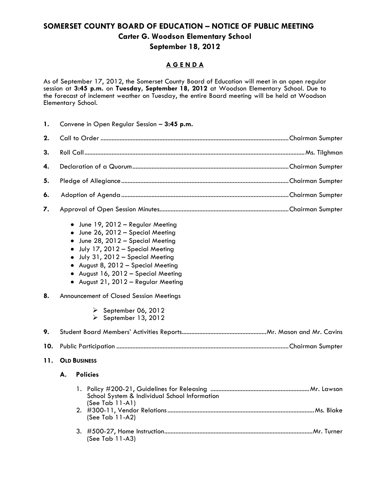## **SOMERSET COUNTY BOARD OF EDUCATION – NOTICE OF PUBLIC MEETING Carter G. Woodson Elementary School September 18, 2012**

## **A G E N D A**

As of September 17, 2012, the Somerset County Board of Education will meet in an open regular session at **3:45 p.m.** on **Tuesday, September 18, 2012** at Woodson Elementary School. Due to the forecast of inclement weather on Tuesday, the entire Board meeting will be held at Woodson Elementary School.

**1.** Convene in Open Regular Session – **3:45 p.m.**

- June 19, 2012 Regular Meeting
- June 26, 2012 Special Meeting
- June 28, 2012 Special Meeting
- July 17, 2012 Special Meeting
- July 31, 2012 Special Meeting
- August 8, 2012 Special Meeting
- August 16, 2012 Special Meeting
- August 21, 2012 Regular Meeting
- **8.** Announcement of Closed Session Meetings

(See Tab 11-A3)

- $\triangleright$  September 06, 2012
- $\triangleright$  September 13, 2012

**11. OLD BUSINESS**

## **A. Policies**

| School System & Individual School Information<br>$(See Tab 11-A1)$ |
|--------------------------------------------------------------------|
| $(See Tab 11-A2)$                                                  |
|                                                                    |